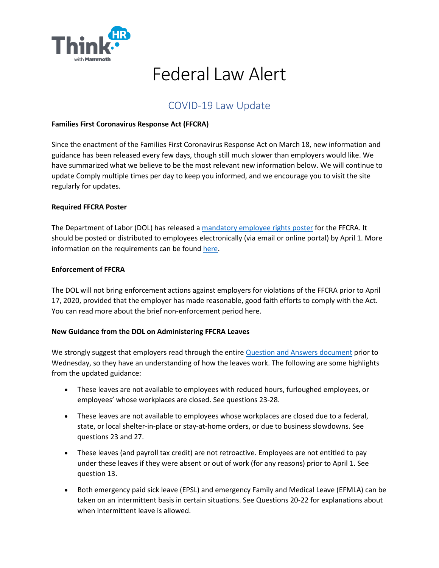

# Federal Law Alert

# COVID-19 Law Update

#### **Families First Coronavirus Response Act (FFCRA)**

Since the enactment of the Families First Coronavirus Response Act on March 18, new information and guidance has been released every few days, though still much slower than employers would like. We have summarized what we believe to be the most relevant new information below. We will continue to update Comply multiple times per day to keep you informed, and we encourage you to visit the site regularly for updates.

## **Required FFCRA Poster**

The Department of Labor (DOL) has released [a mandatory employee rights poster](http://links.thinkhr.com/z0EL19R000hTWGUpKgr0W00) for the FFCRA. It should be posted or distributed to employees electronically (via email or online portal) by April 1. More information on the requirements can be found [here.](http://links.thinkhr.com/hRgpHhT00K000E9UW010WsL)

#### **Enforcement of FFCRA**

The DOL will not bring enforcement actions against employers for violations of the FFCRA prior to April 17, 2020, provided that the employer has made reasonable, good faith efforts to comply with the Act. You can read more about the brief non-enforcement period here.

#### **New Guidance from the DOL on Administering FFCRA Leaves**

We strongly suggest that employers read through the entire [Question and Answers document](http://links.thinkhr.com/Y09hU0tWg00EL001RTK0IWp) prior to Wednesday, so they have an understanding of how the leaves work. The following are some highlights from the updated guidance:

- These leaves are not available to employees with reduced hours, furloughed employees, or employees' whose workplaces are closed. See questions 23-28.
- These leaves are not available to employees whose workplaces are closed due to a federal, state, or local shelter-in-place or stay-at-home orders, or due to business slowdowns. See questions 23 and 27.
- These leaves (and payroll tax credit) are not retroactive. Employees are not entitled to pay under these leaves if they were absent or out of work (for any reasons) prior to April 1. See question 13.
- Both emergency paid sick leave (EPSL) and emergency Family and Medical Leave (EFMLA) can be taken on an intermittent basis in certain situations. See Questions 20-22 for explanations about when intermittent leave is allowed.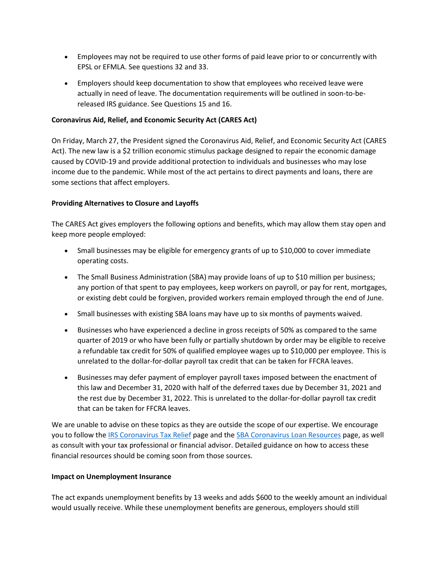- Employees may not be required to use other forms of paid leave prior to or concurrently with EPSL or EFMLA. See questions 32 and 33.
- Employers should keep documentation to show that employees who received leave were actually in need of leave. The documentation requirements will be outlined in soon-to-bereleased IRS guidance. See Questions 15 and 16.

#### **Coronavirus Aid, Relief, and Economic Security Act (CARES Act)**

On Friday, March 27, the President signed the Coronavirus Aid, Relief, and Economic Security Act (CARES Act). The new law is a \$2 trillion economic stimulus package designed to repair the economic damage caused by COVID-19 and provide additional protection to individuals and businesses who may lose income due to the pandemic. While most of the act pertains to direct payments and loans, there are some sections that affect employers.

## **Providing Alternatives to Closure and Layoffs**

The CARES Act gives employers the following options and benefits, which may allow them stay open and keep more people employed:

- Small businesses may be eligible for emergency grants of up to \$10,000 to cover immediate operating costs.
- The Small Business Administration (SBA) may provide loans of up to \$10 million per business; any portion of that spent to pay employees, keep workers on payroll, or pay for rent, mortgages, or existing debt could be forgiven, provided workers remain employed through the end of June.
- Small businesses with existing SBA loans may have up to six months of payments waived.
- Businesses who have experienced a decline in gross receipts of 50% as compared to the same quarter of 2019 or who have been fully or partially shutdown by order may be eligible to receive a refundable tax credit for 50% of qualified employee wages up to \$10,000 per employee. This is unrelated to the dollar-for-dollar payroll tax credit that can be taken for FFCRA leaves.
- Businesses may defer payment of employer payroll taxes imposed between the enactment of this law and December 31, 2020 with half of the deferred taxes due by December 31, 2021 and the rest due by December 31, 2022. This is unrelated to the dollar-for-dollar payroll tax credit that can be taken for FFCRA leaves.

We are unable to advise on these topics as they are outside the scope of our expertise. We encourage you to follow the [IRS Coronavirus Tax Relief](http://links.thinkhr.com/LEh1WT00p0JU0KuLg0R090W) page and the [SBA Coronavirus Loan Resources](http://links.thinkhr.com/ypUKLEgW090RWTK0hv00010) page, as well as consult with your tax professional or financial advisor. Detailed guidance on how to access these financial resources should be coming soon from those sources.

#### **Impact on Unemployment Insurance**

The act expands unemployment benefits by 13 weeks and adds \$600 to the weekly amount an individual would usually receive. While these unemployment benefits are generous, employers should still